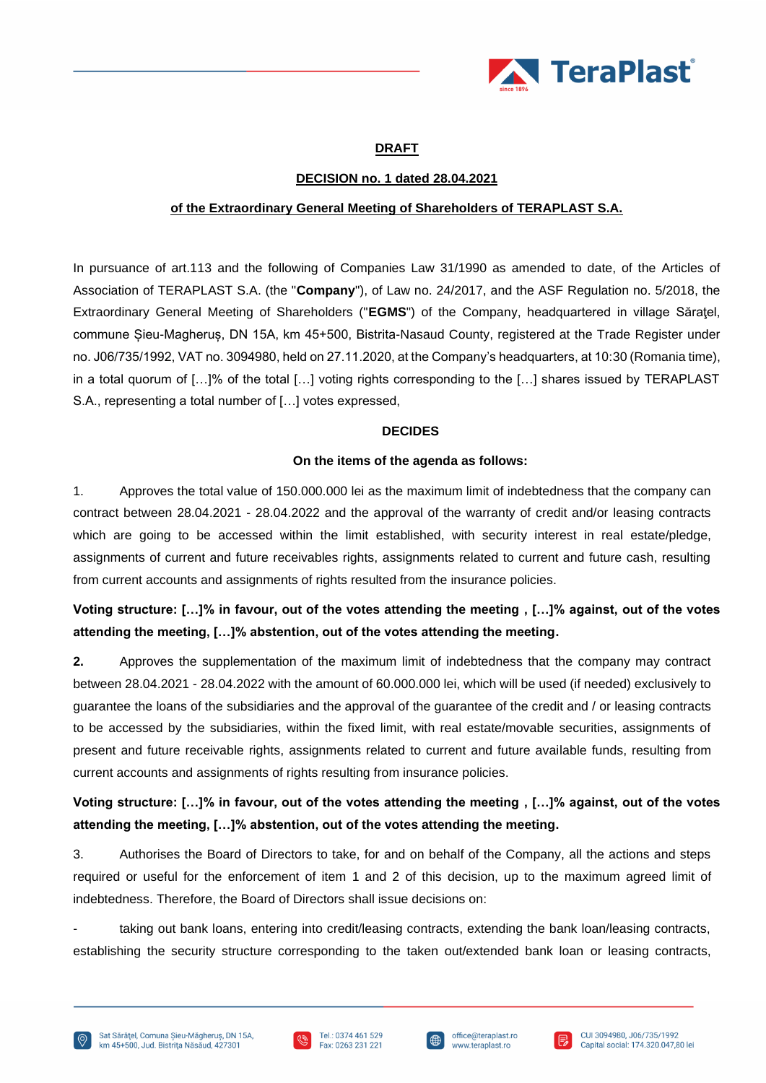

### **DRAFT**

### **DECISION no. 1 dated 28.04.2021**

### **of the Extraordinary General Meeting of Shareholders of TERAPLAST S.A.**

In pursuance of art.113 and the following of Companies Law 31/1990 as amended to date, of the Articles of Association of TERAPLAST S.A. (the "**Company**"), of Law no. 24/2017, and the ASF Regulation no. 5/2018, the Extraordinary General Meeting of Shareholders ("**EGMS**") of the Company, headquartered in village Săraţel, commune Șieu-Magheruș, DN 15A, km 45+500, Bistrita-Nasaud County, registered at the Trade Register under no. J06/735/1992, VAT no. 3094980, held on 27.11.2020, at the Company's headquarters, at 10:30 (Romania time), in a total quorum of […]% of the total […] voting rights corresponding to the […] shares issued by TERAPLAST S.A., representing a total number of […] votes expressed,

#### **DECIDES**

#### **On the items of the agenda as follows:**

1. Approves the total value of 150.000.000 lei as the maximum limit of indebtedness that the company can contract between 28.04.2021 - 28.04.2022 and the approval of the warranty of credit and/or leasing contracts which are going to be accessed within the limit established, with security interest in real estate/pledge, assignments of current and future receivables rights, assignments related to current and future cash, resulting from current accounts and assignments of rights resulted from the insurance policies.

# **Voting structure: […]% in favour, out of the votes attending the meeting , […]% against, out of the votes attending the meeting, […]% abstention, out of the votes attending the meeting.**

**2.** Approves the supplementation of the maximum limit of indebtedness that the company may contract between 28.04.2021 - 28.04.2022 with the amount of 60.000.000 lei, which will be used (if needed) exclusively to guarantee the loans of the subsidiaries and the approval of the guarantee of the credit and / or leasing contracts to be accessed by the subsidiaries, within the fixed limit, with real estate/movable securities, assignments of present and future receivable rights, assignments related to current and future available funds, resulting from current accounts and assignments of rights resulting from insurance policies.

# **Voting structure: […]% in favour, out of the votes attending the meeting , […]% against, out of the votes attending the meeting, […]% abstention, out of the votes attending the meeting.**

3. Authorises the Board of Directors to take, for and on behalf of the Company, all the actions and steps required or useful for the enforcement of item 1 and 2 of this decision, up to the maximum agreed limit of indebtedness. Therefore, the Board of Directors shall issue decisions on:

taking out bank loans, entering into credit/leasing contracts, extending the bank loan/leasing contracts, establishing the security structure corresponding to the taken out/extended bank loan or leasing contracts,